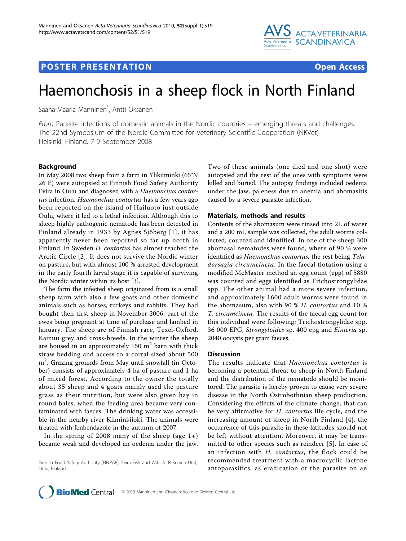

## **POSTER PRESENTATION CONSUMING A RESENTATION**



# Haemonchosis in a sheep flock in North Finland

Saana-Maaria Manninen\* , Antti Oksanen

From Parasite infections of domestic animals in the Nordic countries – emerging threats and challenges. The 22nd Symposium of the Nordic Committee for Veterinary Scientific Cooperation (NKVet) Helsinki, Finland. 7-9 September 2008

### Background

In May 2008 two sheep from a farm in Ylikiiminki (65°N 26°E) were autopsied at Finnish Food Safety Authority Evira in Oulu and diagnosed with a Haemonchus contortus infection. Haemonchus contortus has a few years ago been reported on the island of Hailuoto just outside Oulu, where it led to a lethal infection. Although this to sheep highly pathogenic nematode has been detected in Finland already in 1933 by Agnes Sjöberg [[1\]](#page-1-0), it has apparently never been reported so far up north in Finland. In Sweden H. contortus has almost reached the Arctic Circle [[2](#page-1-0)]. It does not survive the Nordic winter on pasture, but with almost 100 % arrested development in the early fourth larval stage it is capable of surviving the Nordic winter within its host [[3\]](#page-1-0).

The farm the infected sheep originated from is a small sheep farm with also a few goats and other domestic animals such as horses, turkeys and rabbits. They had bought their first sheep in November 2006, part of the ewes being pregnant at time of purchase and lambed in January. The sheep are of Finnish race, Texel-Oxford, Kainuu grey and cross-breeds. In the winter the sheep are housed in an approximately 150  $m<sup>2</sup>$  barn with thick straw bedding and access to a corral sized about 500 m<sup>2</sup>. Grazing grounds from May until snowfall (in October) consists of approximately 4 ha of pasture and 1 ha of mixed forest. According to the owner the totally about 35 sheep and 4 goats mainly used the pasture grass as their nutrition, but were also given hay in round bales, when the feeding area became very contaminated with faeces. The drinking water was accessible in the nearby river Kiiminkijoki. The animals were treated with fenbendazole in the autumn of 2007.

In the spring of 2008 many of the sheep (age  $1+$ ) became weak and developed an oedema under the jaw. Two of these animals (one died and one shot) were autopsied and the rest of the ones with symptoms were killed and buried. The autopsy findings included oedema under the jaw, paleness due to anemia and abomasitis caused by a severe parasite infection.

## Materials, methods and results

Contents of the abomasum were rinsed into 2L of water and a 200 mL sample was collected, the adult worms collected, counted and identified. In one of the sheep 300 abomasal nematodes were found, where of 90 % were identified as Haemonchus contortus, the rest being Teladorsagia circumcincta. In the faecal flotation using a modified McMaster method an egg count (epg) of 5880 was counted and eggs identified as Trichostrongylidae spp. The other animal had a more severe infection, and approximately 1600 adult worms were found in the abomasum, also with 90 % H. contortus and 10 % T. circumcincta. The results of the faecal egg count for this individual were following: Trichostrongylidae spp. 36 000 EPG, Strongyloides sp. 400 epg and Eimeria sp. 2040 oocysts per gram faeces.

### **Discussion**

The results indicate that Haemonchus contortus is becoming a potential threat to sheep in North Finland and the distribution of the nematode should be monitored. The parasite is hereby proven to cause very severe disease in the North Ostrobothnian sheep production. Considering the effects of the climate change, that can be very affirmative for H. contortus life cycle, and the increasing amount of sheep in North Finland [[4\]](#page-1-0), the occurrence of this parasite in these latitudes should not be left without attention. Moreover, it may be transmitted to other species such as reindeer [[5\]](#page-1-0). In case of an infection with H. contortus, the flock could be recommended treatment with a macrocyclic lactone antoparasitics, as eradication of the parasite on an



Finnish Food Safety Authority (FINPAR), Evira Fish and Wildlife Research Unit, Oulu, Finland